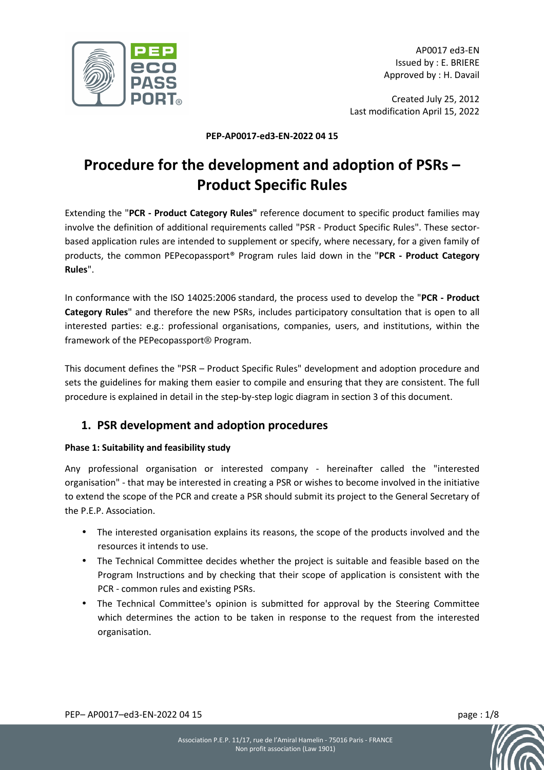

AP0017 ed3-EN Issued by : E. BRIERE Approved by : H. Davail

Created July 25, 2012 Last modification April 15, 2022

#### **PEP-AP0017-ed3-EN-2022 04 15**

# **Procedure for the development and adoption of PSRs – Product Specific Rules**

Extending the "**PCR - Product Category Rules"** reference document to specific product families may involve the definition of additional requirements called "PSR - Product Specific Rules". These sectorbased application rules are intended to supplement or specify, where necessary, for a given family of products, the common PEPecopassport® Program rules laid down in the "**PCR - Product Category Rules**".

In conformance with the ISO 14025:2006 standard, the process used to develop the "**PCR - Product Category Rules**" and therefore the new PSRs, includes participatory consultation that is open to all interested parties: e.g.: professional organisations, companies, users, and institutions, within the framework of the PEPecopassport® Program.

This document defines the "PSR – Product Specific Rules" development and adoption procedure and sets the guidelines for making them easier to compile and ensuring that they are consistent. The full procedure is explained in detail in the step-by-step logic diagram in section 3 of this document.

# **1. PSR development and adoption procedures**

## **Phase 1: Suitability and feasibility study**

Any professional organisation or interested company - hereinafter called the "interested organisation" - that may be interested in creating a PSR or wishes to become involved in the initiative to extend the scope of the PCR and create a PSR should submit its project to the General Secretary of the P.E.P. Association.

- The interested organisation explains its reasons, the scope of the products involved and the resources it intends to use.
- The Technical Committee decides whether the project is suitable and feasible based on the Program Instructions and by checking that their scope of application is consistent with the PCR - common rules and existing PSRs.
- The Technical Committee's opinion is submitted for approval by the Steering Committee which determines the action to be taken in response to the request from the interested organisation.



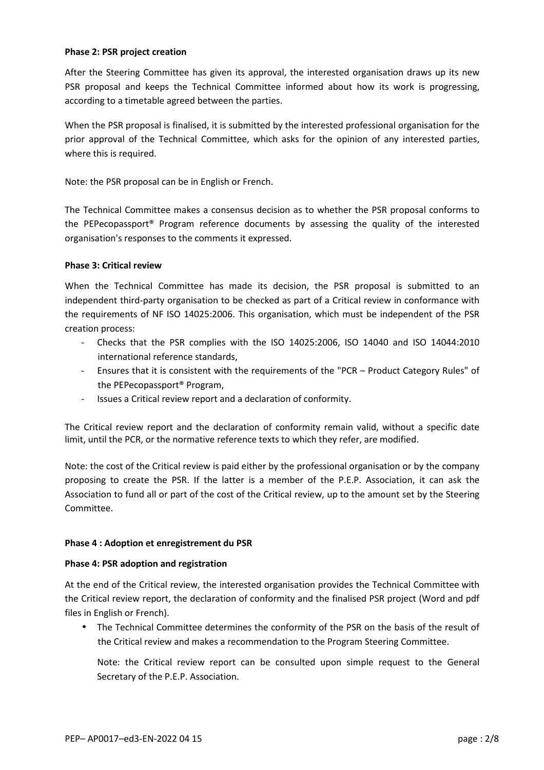#### **Phase 2: PSR project creation**

After the Steering Committee has given its approval, the interested organisation draws up its new PSR proposal and keeps the Technical Committee informed about how its work is progressing, according to a timetable agreed between the parties.

When the PSR proposal is finalised, it is submitted by the interested professional organisation for the prior approval of the Technical Committee, which asks for the opinion of any interested parties, where this is required.

Note: the PSR proposal can be in English or French.

The Technical Committee makes a consensus decision as to whether the PSR proposal conforms to the PEPecopassport® Program reference documents by assessing the quality of the interested organisation's responses to the comments it expressed.

#### **Phase 3: Critical review**

When the Technical Committee has made its decision, the PSR proposal is submitted to an independent third-party organisation to be checked as part of a Critical review in conformance with the requirements of NF ISO 14025:2006. This organisation, which must be independent of the PSR creation process:

- Checks that the PSR complies with the ISO 14025:2006, ISO 14040 and ISO 14044:2010 international reference standards,
- Ensures that it is consistent with the requirements of the "PCR Product Category Rules" of the PEPecopassport® Program,
- Issues a Critical review report and a declaration of conformity.

The Critical review report and the declaration of conformity remain valid, without a specific date limit, until the PCR, or the normative reference texts to which they refer, are modified.

Note: the cost of the Critical review is paid either by the professional organisation or by the company proposing to create the PSR. If the latter is a member of the P.E.P. Association, it can ask the Association to fund all or part of the cost of the Critical review, up to the amount set by the Steering Committee.

#### **Phase 4 : Adoption et enregistrement du PSR**

#### **Phase 4: PSR adoption and registration**

At the end of the Critical review, the interested organisation provides the Technical Committee with the Critical review report, the declaration of conformity and the finalised PSR project (Word and pdf files in English or French).

• The Technical Committee determines the conformity of the PSR on the basis of the result of the Critical review and makes a recommendation to the Program Steering Committee.

Note: the Critical review report can be consulted upon simple request to the General Secretary of the P.E.P. Association.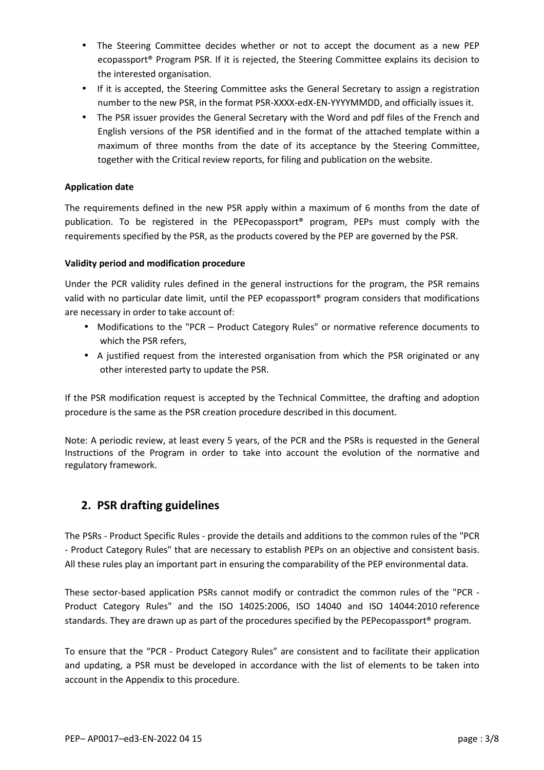- The Steering Committee decides whether or not to accept the document as a new PEP ecopassport® Program PSR. If it is rejected, the Steering Committee explains its decision to the interested organisation.
- If it is accepted, the Steering Committee asks the General Secretary to assign a registration number to the new PSR, in the format PSR-XXXX-edX-EN-YYYYMMDD, and officially issues it.
- The PSR issuer provides the General Secretary with the Word and pdf files of the French and English versions of the PSR identified and in the format of the attached template within a maximum of three months from the date of its acceptance by the Steering Committee, together with the Critical review reports, for filing and publication on the website.

## **Application date**

The requirements defined in the new PSR apply within a maximum of 6 months from the date of publication. To be registered in the PEPecopassport® program, PEPs must comply with the requirements specified by the PSR, as the products covered by the PEP are governed by the PSR.

## **Validity period and modification procedure**

Under the PCR validity rules defined in the general instructions for the program, the PSR remains valid with no particular date limit, until the PEP ecopassport® program considers that modifications are necessary in order to take account of:

- Modifications to the "PCR Product Category Rules" or normative reference documents to which the PSR refers,
- A justified request from the interested organisation from which the PSR originated or any other interested party to update the PSR.

If the PSR modification request is accepted by the Technical Committee, the drafting and adoption procedure is the same as the PSR creation procedure described in this document.

Note: A periodic review, at least every 5 years, of the PCR and the PSRs is requested in the General Instructions of the Program in order to take into account the evolution of the normative and regulatory framework.

## **2. PSR drafting guidelines**

The PSRs - Product Specific Rules - provide the details and additions to the common rules of the "PCR - Product Category Rules" that are necessary to establish PEPs on an objective and consistent basis. All these rules play an important part in ensuring the comparability of the PEP environmental data.

These sector-based application PSRs cannot modify or contradict the common rules of the "PCR - Product Category Rules" and the ISO 14025:2006, ISO 14040 and ISO 14044:2010 reference standards. They are drawn up as part of the procedures specified by the PEPecopassport® program.

To ensure that the "PCR - Product Category Rules" are consistent and to facilitate their application and updating, a PSR must be developed in accordance with the list of elements to be taken into account in the Appendix to this procedure.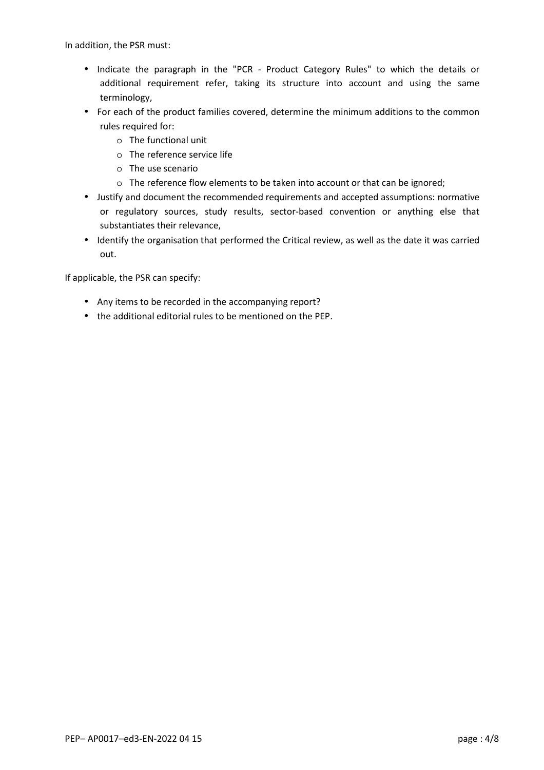In addition, the PSR must:

- Indicate the paragraph in the "PCR Product Category Rules" to which the details or additional requirement refer, taking its structure into account and using the same terminology,
- For each of the product families covered, determine the minimum additions to the common rules required for:
	- o The functional unit
	- o The reference service life
	- o The use scenario
	- o The reference flow elements to be taken into account or that can be ignored;
- Justify and document the recommended requirements and accepted assumptions: normative or regulatory sources, study results, sector-based convention or anything else that substantiates their relevance,
- Identify the organisation that performed the Critical review, as well as the date it was carried out.

If applicable, the PSR can specify:

- Any items to be recorded in the accompanying report?
- the additional editorial rules to be mentioned on the PEP.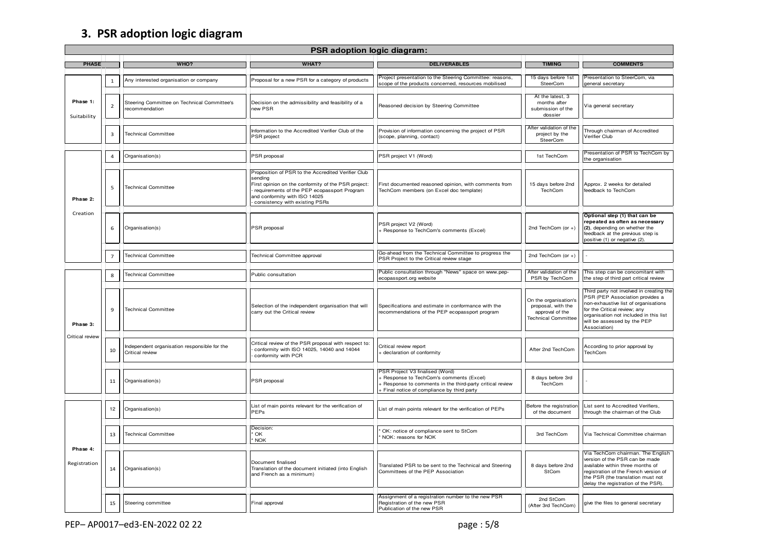# **3. PSR adoption logic diagram**

| PSR adoption logic diagram: |                |                                                                 |                                                                                                                                                                                                                                        |                                                                                                                                                                                          |                                                                                              |                                                                                                                                                                                                                                              |
|-----------------------------|----------------|-----------------------------------------------------------------|----------------------------------------------------------------------------------------------------------------------------------------------------------------------------------------------------------------------------------------|------------------------------------------------------------------------------------------------------------------------------------------------------------------------------------------|----------------------------------------------------------------------------------------------|----------------------------------------------------------------------------------------------------------------------------------------------------------------------------------------------------------------------------------------------|
| <b>PHASE</b>                |                | WHO?                                                            | WHAT?                                                                                                                                                                                                                                  | <b>DELIVERABLES</b>                                                                                                                                                                      | <b>TIMING</b>                                                                                | <b>COMMENTS</b>                                                                                                                                                                                                                              |
| Phase 1:<br>Suitability     | $\mathbf 1$    | Any interested organisation or company                          | Proposal for a new PSR for a category of products                                                                                                                                                                                      | Project presentation to the Steering Committee: reasons,<br>scope of the products concerned, resources mobilised                                                                         | 15 days before 1st<br>SteerCom                                                               | Presentation to SteerCom, via<br>general secretary                                                                                                                                                                                           |
|                             | $\overline{2}$ | Steering Committee on Technical Committee's<br>recommendation   | Decision on the admissibility and feasibility of a<br>new PSR                                                                                                                                                                          | Reasoned decision by Steering Committee                                                                                                                                                  | At the latest, 3<br>months after<br>submission of the<br>dossier                             | Via general secretary                                                                                                                                                                                                                        |
|                             | 3              | <b>Technical Committee</b>                                      | Information to the Accredited Verifier Club of the<br>PSR project                                                                                                                                                                      | Provision of information concerning the project of PSR<br>(scope, planning, contact)                                                                                                     | After validation of the<br>project by the<br>SteerCom                                        | Through chairman of Accredited<br>Verifier Club                                                                                                                                                                                              |
| Phase 2:<br>Creation        | 4              | Organisation(s)                                                 | PSR proposal                                                                                                                                                                                                                           | PSR project V1 (Word)                                                                                                                                                                    | 1st TechCom                                                                                  | Presentation of PSR to TechCom by<br>the organisation                                                                                                                                                                                        |
|                             | 5              | <b>Technical Committee</b>                                      | Proposition of PSR to the Accredited Verifier Club<br>sendina<br>First opinion on the conformity of the PSR project:<br>requirements of the PEP ecopassport Program<br>and conformity with ISO 14025<br>consistency with existing PSRs | First documented reasoned opinion, with comments from<br>TechCom members (on Excel doc template)                                                                                         | 15 days before 2nd<br>TechCom                                                                | Approx. 2 weeks for detailed<br>feedback to TechCom                                                                                                                                                                                          |
|                             | 6              | Organisation(s)                                                 | PSR proposal                                                                                                                                                                                                                           | PSR project V2 (Word)<br>Response to TechCom's comments (Excel)                                                                                                                          | 2nd TechCom (or +)                                                                           | Optional step (1) that can be<br>repeated as often as necessary<br>(2), depending on whether the<br>feedback at the previous step is<br>positive (1) or negative (2).                                                                        |
|                             | $\overline{7}$ | <b>Technical Committee</b>                                      | Technical Committee approval                                                                                                                                                                                                           | Go-ahead from the Technical Committee to progress the<br>PSR Project to the Critical review stage                                                                                        | 2nd TechCom (or $+$ )                                                                        |                                                                                                                                                                                                                                              |
|                             | 8              | <b>Technical Committee</b>                                      | Public consultation                                                                                                                                                                                                                    | Public consultation through "News" space on www.pep-<br>ecopassport.org website                                                                                                          | After validation of the<br>PSR by TechCom                                                    | This step can be concomitant with<br>the step of third part critical review                                                                                                                                                                  |
| Phase 3:<br>Critical review | 9              | <b>Technical Committee</b>                                      | Selection of the independent organisation that will<br>carry out the Critical review                                                                                                                                                   | Specifications and estimate in conformance with the<br>recommendations of the PEP ecopassport program                                                                                    | On the organisation's<br>proposal, with the<br>approval of the<br><b>Technical Committee</b> | Third party not involved in creating the<br>PSR (PEP Association provides a<br>non-exhaustive list of organisations<br>for the Critical review; any<br>organisation not included in this list<br>will be assessed by the PEP<br>Association) |
|                             | 10             | Independent organisation responsible for the<br>Critical review | Critical review of the PSR proposal with respect to:<br>conformity with ISO 14025, 14040 and 14044<br>conformity with PCR                                                                                                              | Critical review report<br>- declaration of conformity                                                                                                                                    | After 2nd TechCom                                                                            | According to prior approval by<br>TechCom                                                                                                                                                                                                    |
|                             | 11             | Organisation(s)                                                 | PSR proposal                                                                                                                                                                                                                           | <b>PSR Project V3 finalised (Word)</b><br>Response to TechCom's comments (Excel)<br>Response to comments in the third-party critical review<br>Final notice of compliance by third party | 8 days before 3rd<br>TechCom                                                                 |                                                                                                                                                                                                                                              |
| Phase 4:<br>Registration    | 12             | Organisation(s)                                                 | List of main points relevant for the verification of<br>PEPs                                                                                                                                                                           | List of main points relevant for the verification of PEPs                                                                                                                                | Before the registration<br>of the document                                                   | List sent to Accredited Verifiers,<br>through the chairman of the Club                                                                                                                                                                       |
|                             | 13             | <b>Technical Committee</b>                                      | Decision:<br>' OK<br>' NOK                                                                                                                                                                                                             | OK: notice of compliance sent to StCom<br>NOK: reasons for NOK                                                                                                                           | 3rd TechCom                                                                                  | Via Technical Committee chairman                                                                                                                                                                                                             |
|                             | 14             | Organisation(s)                                                 | Document finalised<br>Translation of the document initiated (into English<br>and French as a minimum)                                                                                                                                  | Translated PSR to be sent to the Technical and Steering<br>Committees of the PEP Association                                                                                             | 8 days before 2nd<br>StCom                                                                   | Via TechCom chairman. The English<br>version of the PSR can be made<br>available within three months of<br>registration of the French version of<br>the PSR (the translation must not<br>delay the registration of the PSR).                 |
|                             | 15             | Steering committee                                              | Final approval                                                                                                                                                                                                                         | Assignment of a registration number to the new PSR<br>Registration of the new PSR<br>Publication of the new PSR                                                                          | 2nd StCom<br>(After 3rd TechCom)                                                             | give the files to general secretary                                                                                                                                                                                                          |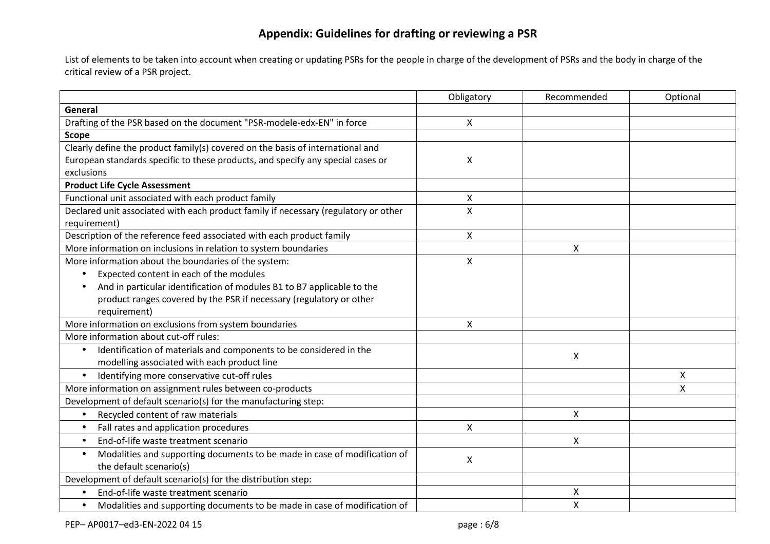# **Appendix: Guidelines for drafting or reviewing a PSR**

List of elements to be taken into account when creating or updating PSRs for the people in charge of the development of PSRs and the body in charge of the critical review of a PSR project.

|                                                                                        | Obligatory | Recommended | Optional |
|----------------------------------------------------------------------------------------|------------|-------------|----------|
| General                                                                                |            |             |          |
| Drafting of the PSR based on the document "PSR-modele-edx-EN" in force                 | X          |             |          |
| <b>Scope</b>                                                                           |            |             |          |
| Clearly define the product family(s) covered on the basis of international and         |            |             |          |
| European standards specific to these products, and specify any special cases or        | X          |             |          |
| exclusions                                                                             |            |             |          |
| <b>Product Life Cycle Assessment</b>                                                   |            |             |          |
| Functional unit associated with each product family                                    | Χ          |             |          |
| Declared unit associated with each product family if necessary (regulatory or other    | X          |             |          |
| requirement)                                                                           |            |             |          |
| Description of the reference feed associated with each product family                  | X          |             |          |
| More information on inclusions in relation to system boundaries                        |            | Χ           |          |
| More information about the boundaries of the system:                                   | X          |             |          |
| Expected content in each of the modules<br>$\bullet$                                   |            |             |          |
| And in particular identification of modules B1 to B7 applicable to the                 |            |             |          |
| product ranges covered by the PSR if necessary (regulatory or other                    |            |             |          |
| requirement)                                                                           |            |             |          |
| More information on exclusions from system boundaries                                  | X          |             |          |
| More information about cut-off rules:                                                  |            |             |          |
| Identification of materials and components to be considered in the                     |            | X           |          |
| modelling associated with each product line                                            |            |             |          |
| Identifying more conservative cut-off rules<br>$\bullet$                               |            |             | X        |
| More information on assignment rules between co-products                               |            |             | X        |
| Development of default scenario(s) for the manufacturing step:                         |            |             |          |
| Recycled content of raw materials<br>$\bullet$                                         |            | Χ           |          |
| Fall rates and application procedures<br>$\bullet$                                     | X          |             |          |
| End-of-life waste treatment scenario<br>$\bullet$                                      |            | X           |          |
| Modalities and supporting documents to be made in case of modification of<br>$\bullet$ | X          |             |          |
| the default scenario(s)                                                                |            |             |          |
| Development of default scenario(s) for the distribution step:                          |            |             |          |
| End-of-life waste treatment scenario                                                   |            | Χ           |          |
| Modalities and supporting documents to be made in case of modification of<br>$\bullet$ |            | X           |          |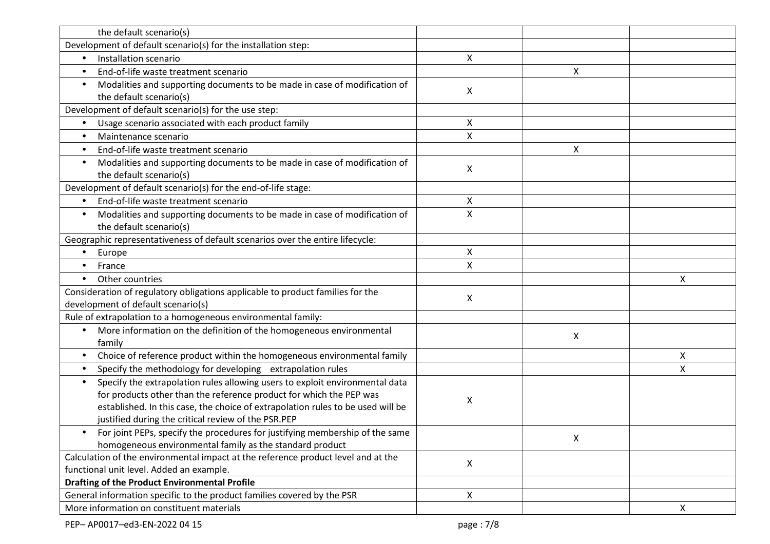| the default scenario(s)                                                                |                |   |                           |
|----------------------------------------------------------------------------------------|----------------|---|---------------------------|
| Development of default scenario(s) for the installation step:                          |                |   |                           |
| Installation scenario                                                                  | X              |   |                           |
| End-of-life waste treatment scenario<br>$\bullet$                                      |                | Χ |                           |
| Modalities and supporting documents to be made in case of modification of              |                |   |                           |
| the default scenario(s)                                                                | X              |   |                           |
| Development of default scenario(s) for the use step:                                   |                |   |                           |
| Usage scenario associated with each product family                                     | X              |   |                           |
| Maintenance scenario<br>$\bullet$                                                      | $\pmb{\times}$ |   |                           |
| End-of-life waste treatment scenario<br>$\bullet$                                      |                | X |                           |
| Modalities and supporting documents to be made in case of modification of              |                |   |                           |
| the default scenario(s)                                                                | X              |   |                           |
| Development of default scenario(s) for the end-of-life stage:                          |                |   |                           |
| End-of-life waste treatment scenario<br>$\bullet$                                      | X              |   |                           |
| Modalities and supporting documents to be made in case of modification of<br>$\bullet$ | X              |   |                           |
| the default scenario(s)                                                                |                |   |                           |
| Geographic representativeness of default scenarios over the entire lifecycle:          |                |   |                           |
| Europe<br>$\bullet$                                                                    | X              |   |                           |
| France                                                                                 | $\mathsf{x}$   |   |                           |
| Other countries<br>$\bullet$                                                           |                |   | X                         |
| Consideration of regulatory obligations applicable to product families for the         |                |   |                           |
| development of default scenario(s)                                                     | X              |   |                           |
| Rule of extrapolation to a homogeneous environmental family:                           |                |   |                           |
| More information on the definition of the homogeneous environmental<br>$\bullet$       |                | Χ |                           |
| family                                                                                 |                |   |                           |
| Choice of reference product within the homogeneous environmental family<br>$\bullet$   |                |   | Χ                         |
| Specify the methodology for developing extrapolation rules<br>$\bullet$                |                |   | X                         |
| Specify the extrapolation rules allowing users to exploit environmental data           |                |   |                           |
| for products other than the reference product for which the PEP was                    | Х              |   |                           |
| established. In this case, the choice of extrapolation rules to be used will be        |                |   |                           |
| justified during the critical review of the PSR.PEP                                    |                |   |                           |
| For joint PEPs, specify the procedures for justifying membership of the same           |                | X |                           |
| homogeneous environmental family as the standard product                               |                |   |                           |
| Calculation of the environmental impact at the reference product level and at the      | X              |   |                           |
| functional unit level. Added an example.                                               |                |   |                           |
| <b>Drafting of the Product Environmental Profile</b>                                   |                |   |                           |
| General information specific to the product families covered by the PSR                | $\mathsf{X}$   |   |                           |
| More information on constituent materials                                              |                |   | $\boldsymbol{\mathsf{X}}$ |